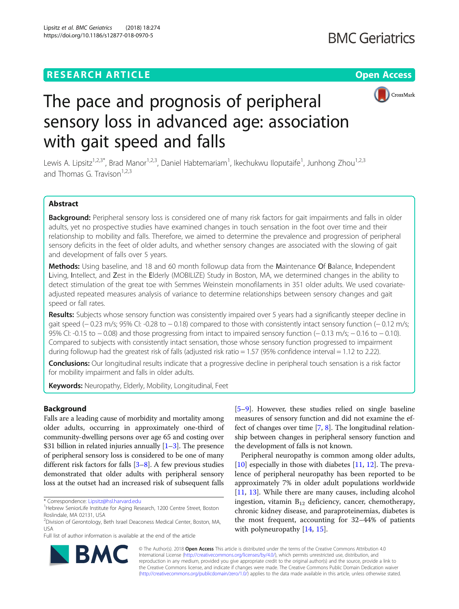# **RESEARCH ARTICLE Example 2018 12:30 THE Open Access**



# The pace and prognosis of peripheral sensory loss in advanced age: association with gait speed and falls

Lewis A. Lipsitz<sup>1,2,3\*</sup>, Brad Manor<sup>1,2,3</sup>, Daniel Habtemariam<sup>1</sup>, Ikechukwu Iloputaife<sup>1</sup>, Junhong Zhou<sup>1,2,3</sup> and Thomas G. Travison<sup>1,2,3</sup>

# Abstract

Background: Peripheral sensory loss is considered one of many risk factors for gait impairments and falls in older adults, yet no prospective studies have examined changes in touch sensation in the foot over time and their relationship to mobility and falls. Therefore, we aimed to determine the prevalence and progression of peripheral sensory deficits in the feet of older adults, and whether sensory changes are associated with the slowing of gait and development of falls over 5 years.

Methods: Using baseline, and 18 and 60 month followup data from the Maintenance Of Balance, Independent Living, Intellect, and Zest in the Elderly (MOBILIZE) Study in Boston, MA, we determined changes in the ability to detect stimulation of the great toe with Semmes Weinstein monofilaments in 351 older adults. We used covariateadjusted repeated measures analysis of variance to determine relationships between sensory changes and gait speed or fall rates.

Results: Subjects whose sensory function was consistently impaired over 5 years had a significantly steeper decline in gait speed (− 0.23 m/s; 95% CI: -0.28 to − 0.18) compared to those with consistently intact sensory function (− 0.12 m/s; 95% CI: -0.15 to − 0.08) and those progressing from intact to impaired sensory function (− 0.13 m/s; − 0.16 to − 0.10). Compared to subjects with consistently intact sensation, those whose sensory function progressed to impairment during followup had the greatest risk of falls (adjusted risk ratio = 1.57 (95% confidence interval = 1.12 to 2.22).

Conclusions: Our longitudinal results indicate that a progressive decline in peripheral touch sensation is a risk factor for mobility impairment and falls in older adults.

Keywords: Neuropathy, Elderly, Mobility, Longitudinal, Feet

# Background

Falls are a leading cause of morbidity and mortality among older adults, occurring in approximately one-third of community-dwelling persons over age 65 and costing over \$3[1](#page-6-0) billion in related injuries annually  $[1-3]$  $[1-3]$  $[1-3]$ . The presence of peripheral sensory loss is considered to be one of many different risk factors for falls [\[3](#page-7-0)–[8\]](#page-7-0). A few previous studies demonstrated that older adults with peripheral sensory loss at the outset had an increased risk of subsequent falls

\* Correspondence: [Lipsitz@hsl.harvard.edu](mailto:Lipsitz@hsl.harvard.edu) <sup>1</sup>

Full list of author information is available at the end of the article

[[5](#page-7-0)–[9](#page-7-0)]. However, these studies relied on single baseline measures of sensory function and did not examine the effect of changes over time [\[7,](#page-7-0) [8\]](#page-7-0). The longitudinal relationship between changes in peripheral sensory function and the development of falls is not known.

Peripheral neuropathy is common among older adults, [[10\]](#page-7-0) especially in those with diabetes [[11,](#page-7-0) [12](#page-7-0)]. The prevalence of peripheral neuropathy has been reported to be approximately 7% in older adult populations worldwide [[11,](#page-7-0) [13](#page-7-0)]. While there are many causes, including alcohol ingestion, vitamin  $B_{12}$  deficiency, cancer, chemotherapy, chronic kidney disease, and paraproteinemias, diabetes is the most frequent, accounting for 32–44% of patients with polyneuropathy [\[14](#page-7-0), [15](#page-7-0)].



© The Author(s). 2018 Open Access This article is distributed under the terms of the Creative Commons Attribution 4.0 International License [\(http://creativecommons.org/licenses/by/4.0/](http://creativecommons.org/licenses/by/4.0/)), which permits unrestricted use, distribution, and reproduction in any medium, provided you give appropriate credit to the original author(s) and the source, provide a link to the Creative Commons license, and indicate if changes were made. The Creative Commons Public Domain Dedication waiver [\(http://creativecommons.org/publicdomain/zero/1.0/](http://creativecommons.org/publicdomain/zero/1.0/)) applies to the data made available in this article, unless otherwise stated.

<sup>&</sup>lt;sup>1</sup>Hebrew SeniorLife Institute for Aging Research, 1200 Centre Street, Boston Roslindale, MA 02131, USA

<sup>&</sup>lt;sup>2</sup>Division of Gerontology, Beth Israel Deaconess Medical Center, Boston, MA, USA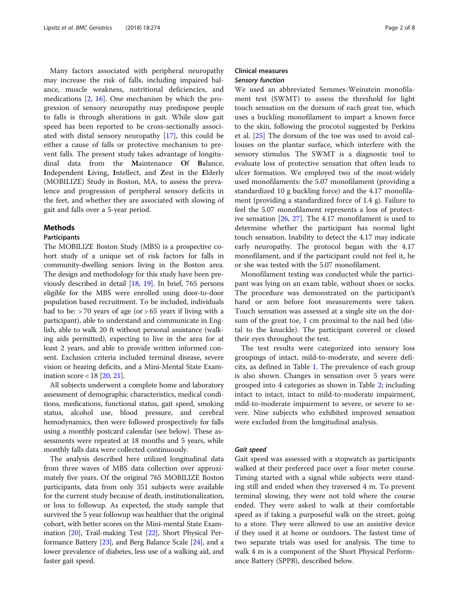Many factors associated with peripheral neuropathy may increase the risk of falls, including impaired balance, muscle weakness, nutritional deficiencies, and medications [[2,](#page-7-0) [16\]](#page-7-0). One mechanism by which the progression of sensory neuropathy may predispose people to falls is through alterations in gait. While slow gait speed has been reported to be cross-sectionally associated with distal sensory neuropathy [\[17](#page-7-0)], this could be either a cause of falls or protective mechanism to prevent falls. The present study takes advantage of longitudinal data from the Maintenance Of Balance, Independent Living, Intellect, and Zest in the Elderly (MOBILIZE) Study in Boston, MA, to assess the prevalence and progression of peripheral sensory deficits in the feet, and whether they are associated with slowing of gait and falls over a 5-year period.

# Methods

#### Participants

The MOBILIZE Boston Study (MBS) is a prospective cohort study of a unique set of risk factors for falls in community-dwelling seniors living in the Boston area. The design and methodology for this study have been previously described in detail [\[18](#page-7-0), [19\]](#page-7-0). In brief, 765 persons eligible for the MBS were enrolled using door-to-door population based recruitment. To be included, individuals had to be: > 70 years of age (or > 65 years if living with a participant), able to understand and communicate in English, able to walk 20 ft without personal assistance (walking aids permitted), expecting to live in the area for at least 2 years, and able to provide written informed consent. Exclusion criteria included terminal disease, severe vision or hearing deficits, and a Mini-Mental State Examination score < 18 [[20](#page-7-0), [21\]](#page-7-0).

All subjects underwent a complete home and laboratory assessment of demographic characteristics, medical conditions, medications, functional status, gait speed, smoking status, alcohol use, blood pressure, and cerebral hemodynamics, then were followed prospectively for falls using a monthly postcard calendar (see below). These assessments were repeated at 18 months and 5 years, while monthly falls data were collected continuously.

The analysis described here utilized longitudinal data from three waves of MBS data collection over approximately five years. Of the original 765 MOBILIZE Boston participants, data from only 351 subjects were available for the current study because of death, institutionalization, or loss to followup. As expected, the study sample that survived the 5 year followup was healthier that the original cohort, with better scores on the Mini-mental State Examination [\[20\]](#page-7-0), Trail-making Test [\[22\]](#page-7-0), Short Physical Performance Battery [\[23\]](#page-7-0), and Berg Balance Scale [\[24\]](#page-7-0), and a lower prevalence of diabetes, less use of a walking aid, and faster gait speed.

# Clinical measures Sensory function

We used an abbreviated Semmes-Weinstein monofilament test (SWMT) to assess the threshold for light touch sensation on the dorsum of each great toe, which uses a buckling monofilament to impart a known force to the skin, following the procotol suggested by Perkins et al. [\[25](#page-7-0)] The dorsum of the toe was used to avoid callouses on the plantar surface, which interfere with the sensory stimulus. The SWMT is a diagnostic tool to evaluate loss of protective sensation that often leads to ulcer formation. We employed two of the most-widely used monofilaments: the 5.07 monofilament (providing a standardized 10 g buckling force) and the 4.17 monofilament (providing a standardized force of 1.4 g). Failure to feel the 5.07 monofilament represents a loss of protective sensation [\[26,](#page-7-0) [27](#page-7-0)]. The 4.17 monofilament is used to determine whether the participant has normal light touch sensation. Inability to detect the 4.17 may indicate early neuropathy. The protocol began with the 4.17 monofilament, and if the participant could not feel it, he or she was tested with the 5.07 monofilament.

Monofilament testing was conducted while the participant was lying on an exam table, without shoes or socks. The procedure was demonstrated on the participant's hand or arm before foot measurements were taken. Touch sensation was assessed at a single site on the dorsum of the great toe, 1 cm proximal to the nail bed (distal to the knuckle). The participant covered or closed their eyes throughout the test.

The test results were categorized into sensory loss groupings of intact, mild-to-moderate, and severe deficits, as defined in Table [1](#page-2-0). The prevalence of each group is also shown. Changes in sensation over 5 years were grouped into 4 categories as shown in Table [2](#page-2-0); including intact to intact, intact to mild-to-moderate impairment, mild-to-moderate impairment to severe, or severe to severe. Nine subjects who exhibited improved sensation were excluded from the longitudinal analysis.

## Gait speed

Gait speed was assessed with a stopwatch as participants walked at their preferred pace over a four meter course. Timing started with a signal while subjects were standing still and ended when they traversed 4 m. To prevent terminal slowing, they were not told where the course ended. They were asked to walk at their comfortable speed as if taking a purposeful walk on the street, going to a store. They were allowed to use an assistive device if they used it at home or outdoors. The fastest time of two separate trials was used for analysis. The time to walk 4 m is a component of the Short Physical Performance Battery (SPPB), described below.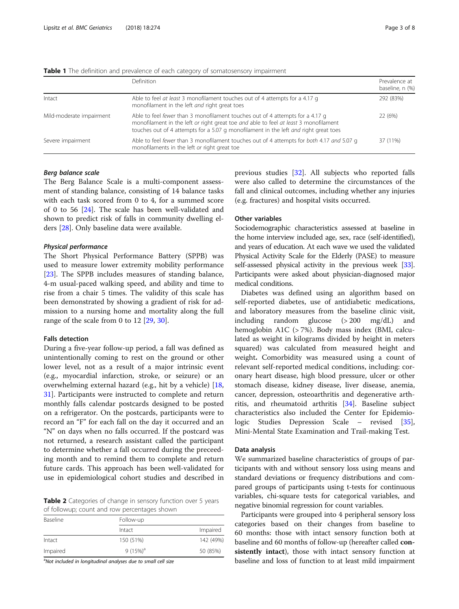<span id="page-2-0"></span>

|  |  | Table 1 The definition and prevalence of each category of somatosensory impairment |  |
|--|--|------------------------------------------------------------------------------------|--|
|  |  |                                                                                    |  |

|                          | <b>Definition</b>                                                                                                                                                                                                                                             | Prevalence at<br>baseline, n (%) |
|--------------------------|---------------------------------------------------------------------------------------------------------------------------------------------------------------------------------------------------------------------------------------------------------------|----------------------------------|
| Intact                   | Able to feel at least 3 monofilament touches out of 4 attempts for a 4.17 g<br>monofilament in the left and right great toes                                                                                                                                  | 292 (83%)                        |
| Mild-moderate impairment | Able to feel fewer than 3 monofilament touches out of 4 attempts for a 4.17 g<br>monofilament in the left or right great toe and able to feel at least 3 monofilament<br>touches out of 4 attempts for a 5.07 g monofilament in the left and right great toes | 22 (6%)                          |
| Severe impairment        | Able to feel fewer than 3 monofilament touches out of 4 attempts for both 4.17 and 5.07 g<br>monofilaments in the left or right great toe                                                                                                                     | 37 (11%)                         |

# Berg balance scale

The Berg Balance Scale is a multi-component assessment of standing balance, consisting of 14 balance tasks with each task scored from 0 to 4, for a summed score of 0 to 56 [[24](#page-7-0)]. The scale has been well-validated and shown to predict risk of falls in community dwelling elders [[28\]](#page-7-0). Only baseline data were available.

# Physical performance

The Short Physical Performance Battery (SPPB) was used to measure lower extremity mobility performance [[23\]](#page-7-0). The SPPB includes measures of standing balance, 4-m usual-paced walking speed, and ability and time to rise from a chair 5 times. The validity of this scale has been demonstrated by showing a gradient of risk for admission to a nursing home and mortality along the full range of the scale from 0 to 12 [\[29](#page-7-0), [30\]](#page-7-0).

#### Falls detection

During a five-year follow-up period, a fall was defined as unintentionally coming to rest on the ground or other lower level, not as a result of a major intrinsic event (e.g., myocardial infarction, stroke, or seizure) or an overwhelming external hazard (e.g., hit by a vehicle) [[18](#page-7-0), [31\]](#page-7-0). Participants were instructed to complete and return monthly falls calendar postcards designed to be posted on a refrigerator. On the postcards, participants were to record an "F" for each fall on the day it occurred and an "N" on days when no falls occurred. If the postcard was not returned, a research assistant called the participant to determine whether a fall occurred during the preceeding month and to remind them to complete and return future cards. This approach has been well-validated for use in epidemiological cohort studies and described in

Table 2 Categories of change in sensory function over 5 years of followup; count and row percentages shown

| Follow-up  |           |
|------------|-----------|
| Intact     | Impaired  |
| 150 (51%)  | 142 (49%) |
| $9(15%)^a$ | 50 (85%)  |
|            |           |

<sup>a</sup>Not included in longitudinal analyses due to small cell size

previous studies [\[32\]](#page-7-0). All subjects who reported falls were also called to determine the circumstances of the fall and clinical outcomes, including whether any injuries (e.g. fractures) and hospital visits occurred.

# Other variables

Sociodemographic characteristics assessed at baseline in the home interview included age, sex, race (self-identified), and years of education. At each wave we used the validated Physical Activity Scale for the Elderly (PASE) to measure self-assessed physical activity in the previous week [\[33](#page-7-0)]. Participants were asked about physician-diagnosed major medical conditions.

Diabetes was defined using an algorithm based on self-reported diabetes, use of antidiabetic medications, and laboratory measures from the baseline clinic visit, including random glucose (> 200 mg/dL) and hemoglobin A1C (> 7%). Body mass index (BMI, calculated as weight in kilograms divided by height in meters squared) was calculated from measured height and weight. Comorbidity was measured using a count of relevant self-reported medical conditions, including: coronary heart disease, high blood pressure, ulcer or other stomach disease, kidney disease, liver disease, anemia, cancer, depression, osteoarthritis and degenerative arthritis, and rheumatoid arthritis [[34\]](#page-7-0). Baseline subject characteristics also included the Center for Epidemiologic Studies Depression Scale – revised [\[35](#page-7-0)], Mini-Mental State Examination and Trail-making Test.

## Data analysis

We summarized baseline characteristics of groups of participants with and without sensory loss using means and standard deviations or frequency distributions and compared groups of participants using t-tests for continuous variables, chi-square tests for categorical variables, and negative binomial regression for count variables.

Participants were grouped into 4 peripheral sensory loss categories based on their changes from baseline to 60 months: those with intact sensory function both at baseline and 60 months of follow-up (hereafter called consistently intact), those with intact sensory function at baseline and loss of function to at least mild impairment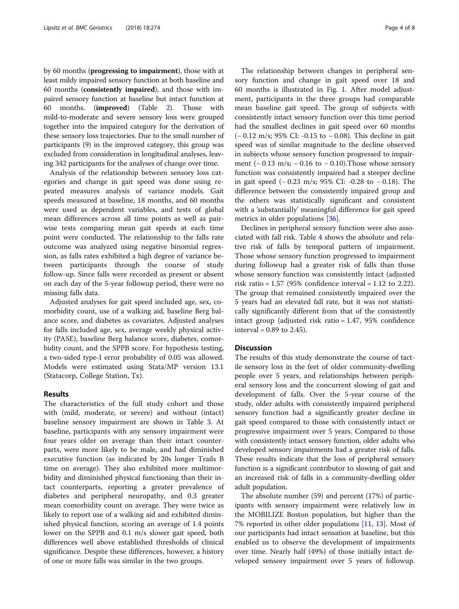by 60 months (progressing to impairment), those with at least mildy impaired sensory function at both baseline and 60 months (consistently impaired), and those with impaired sensory function at baseline but intact function at 60 months. (improved) (Table [2](#page-2-0)). Those with mild-to-moderate and severe sensory loss were grouped together into the impaired category for the derivation of these sensory loss trajectories. Due to the small number of participants (9) in the improved category, this group was excluded from consideration in longitudinal analyses, leaving 342 participants for the analyses of change over time.

Analysis of the relationship between sensory loss categories and change in gait speed was done using repeated measures analysis of variance models. Gait speeds measured at baseline, 18 months, and 60 months were used as dependent variables, and tests of global mean differences across all time points as well as pairwise tests comparing mean gait speeds at each time point were conducted. The relationship to the falls rate outcome was analyzed using negative binomial regression, as falls rates exhibited a high degree of variance between participants through the course of study follow-up. Since falls were recorded as present or absent on each day of the 5-year followup period, there were no missing falls data.

Adjusted analyses for gait speed included age, sex, comorbidity count, use of a walking aid, baseline Berg balance score, and diabetes as covariates. Adjusted analyses for falls included age, sex, average weekly physical activity (PASE), baseline Berg balance score, diabetes, comorbidity count, and the SPPB score. For hypothesis testing, a two-sided type-I error probability of 0.05 was allowed. Models were estimated using Stata/MP version 13.1 (Statacorp, College Station, Tx).

# Results

The characteristics of the full study cohort and those with (mild, moderate, or severe) and without (intact) baseline sensory impairment are shown in Table [3.](#page-4-0) At baseline, participants with any sensory impairment were four years older on average than their intact counterparts, were more likely to be male, and had diminished executive function (as indicated by 20s longer Trails B time on average). They also exhibited more multimorbidity and diminished physical functioning than their intact counterparts, reporting a greater prevalence of diabetes and peripheral neuropathy, and 0.3 greater mean comorbidity count on average. They were twice as likely to report use of a walking aid and exhibited diminished physical function, scoring an average of 1.4 points lower on the SPPB and 0.1 m/s slower gait speed, both differences well above established thresholds of clinical significance. Despite these differences, however, a history of one or more falls was similar in the two groups.

The relationship between changes in peripheral sensory function and change in gait speed over 18 and 60 months is illustrated in Fig. [1](#page-5-0). After model adjustment, participants in the three groups had comparable mean baseline gait speed. The group of subjects with consistently intact sensory function over this time period had the smallest declines in gait speed over 60 months (− 0.12 m/s; 95% CI: -0.15 to − 0.08). This decline in gait speed was of similar magnitude to the decline observed in subjects whose sensory function progressed to impairment  $(-0.13 \text{ m/s}; -0.16 \text{ to } -0.10)$ . Those whose sensory function was consistently impaired had a steeper decline in gait speed (− 0.23 m/s; 95% CI: -0.28 to − 0.18). The difference between the consistently impaired group and the others was statistically significant and consistent with a 'substantially' meaningful difference for gait speed metrics in older populations [[36](#page-7-0)].

Declines in peripheral sensory function were also associated with fall risk. Table [4](#page-6-0) shows the absolute and relative risk of falls by temporal pattern of impairment. Those whose sensory function progressed to impairment during followup had a greater risk of falls than those whose sensory function was consistently intact (adjusted risk ratio =  $1.57$  (95% confidence interval =  $1.12$  to 2.22). The group that remained consistently impaired over the 5 years had an elevated fall rate, but it was not statistically significantly different from that of the consistently intact group (adjusted risk ratio = 1.47, 95% confidence interval =  $0.89$  to  $2.45$ ).

# Discussion

The results of this study demonstrate the course of tactile sensory loss in the feet of older community-dwelling people over 5 years, and relationships between peripheral sensory loss and the concurrent slowing of gait and development of falls. Over the 5-year course of the study, older adults with consistently impaired peripheral sensory function had a significantly greater decline in gait speed compared to those with consistently intact or progressive impairment over 5 years. Compared to those with consistently intact sensory function, older adults who developed sensory impairments had a greater risk of falls. These results indicate that the loss of peripheral sensory function is a significant contributor to slowing of gait and an increased risk of falls in a community-dwelling older adult population.

The absolute number (59) and percent (17%) of participants with sensory impairment were relatively low in the MOBILIZE Boston population, but higher than the 7% reported in other older populations [[11](#page-7-0), [13\]](#page-7-0). Most of our participants had intact sensation at baseline, but this enabled us to observe the development of impairments over time. Nearly half (49%) of those initially intact developed sensory impairment over 5 years of followup.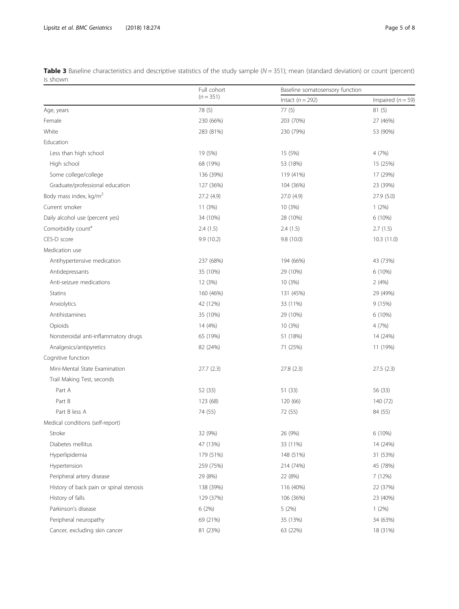<span id="page-4-0"></span>

| <b>Table 3</b> Baseline characteristics and descriptive statistics of the study sample ( $N = 351$ ); mean (standard deviation) or count (percent) |  |  |
|----------------------------------------------------------------------------------------------------------------------------------------------------|--|--|
| is shown                                                                                                                                           |  |  |
|                                                                                                                                                    |  |  |

|                                         | Full cohort<br>$(n = 351)$ | Baseline somatosensory function |                       |
|-----------------------------------------|----------------------------|---------------------------------|-----------------------|
|                                         |                            | Intact ( $n = 292$ )            | Impaired ( $n = 59$ ) |
| Age, years                              | 78 (5)                     | 77(5)                           | 81(5)                 |
| Female                                  | 230 (66%)                  | 203 (70%)                       | 27 (46%)              |
| White                                   | 283 (81%)                  | 230 (79%)                       | 53 (90%)              |
| Education                               |                            |                                 |                       |
| Less than high school                   | 19 (5%)                    | 15 (5%)                         | 4(7%)                 |
| High school                             | 68 (19%)                   | 53 (18%)                        | 15 (25%)              |
| Some college/college                    | 136 (39%)                  | 119 (41%)                       | 17 (29%)              |
| Graduate/professional education         | 127 (36%)                  | 104 (36%)                       | 23 (39%)              |
| Body mass index, kg/m <sup>2</sup>      | 27.2 (4.9)                 | 27.0 (4.9)                      | 27.9(5.0)             |
| Current smoker                          | 11 (3%)                    | 10 (3%)                         | $1(2\%)$              |
| Daily alcohol use (percent yes)         | 34 (10%)                   | 28 (10%)                        | $6(10\%)$             |
| Comorbidity count <sup>a</sup>          | 2.4(1.5)                   | 2.4(1.5)                        | 2.7(1.5)              |
| CES-D score                             | 9.9(10.2)                  | 9.8(10.0)                       | 10.3(11.0)            |
| Medication use                          |                            |                                 |                       |
| Antihypertensive medication             | 237 (68%)                  | 194 (66%)                       | 43 (73%)              |
| Antidepressants                         | 35 (10%)                   | 29 (10%)                        | $6(10\%)$             |
| Anti-seizure medications                | 12 (3%)                    | 10 (3%)                         | 2(4%)                 |
| Statins                                 | 160 (46%)                  | 131 (45%)                       | 29 (49%)              |
| Anxiolytics                             | 42 (12%)                   | 33 (11%)                        | 9 (15%)               |
| Antihistamines                          | 35 (10%)                   | 29 (10%)                        | $6(10\%)$             |
| Opioids                                 | 14 (4%)                    | 10 (3%)                         | 4 (7%)                |
| Nonsteroidal anti-inflammatory drugs    | 65 (19%)                   | 51 (18%)                        | 14 (24%)              |
| Analgesics/antipyretics                 | 82 (24%)                   | 71 (25%)                        | 11 (19%)              |
| Cognitive function                      |                            |                                 |                       |
| Mini-Mental State Examination           | 27.7(2.3)                  | 27.8(2.3)                       | 27.5(2.3)             |
| Trail Making Test, seconds              |                            |                                 |                       |
| Part A                                  | 52 (33)                    | 51 (33)                         | 56 (33)               |
| Part B                                  | 123 (68)                   | 120 (66)                        | 140 (72)              |
| Part B less A                           | 74 (55)                    | 72 (55)                         | 84 (55)               |
| Medical conditions (self-report)        |                            |                                 |                       |
| Stroke                                  | 32 (9%)                    | 26 (9%)                         | 6 (10%)               |
| Diabetes mellitus                       | 47 (13%)                   | 33 (11%)                        | 14 (24%)              |
| Hyperlipidemia                          | 179 (51%)                  | 148 (51%)                       | 31 (53%)              |
| Hypertension                            | 259 (75%)                  | 214 (74%)                       | 45 (78%)              |
| Peripheral artery disease               | 29 (8%)                    | 22 (8%)                         | 7 (12%)               |
| History of back pain or spinal stenosis | 138 (39%)                  | 116 (40%)                       | 22 (37%)              |
| History of falls                        | 129 (37%)                  | 106 (36%)                       | 23 (40%)              |
| Parkinson's disease                     | 6 (2%)                     | 5(2%)                           | 1(2%)                 |
| Peripheral neuropathy                   | 69 (21%)                   | 35 (13%)                        | 34 (63%)              |
| Cancer, excluding skin cancer           | 81 (23%)                   | 63 (22%)                        | 18 (31%)              |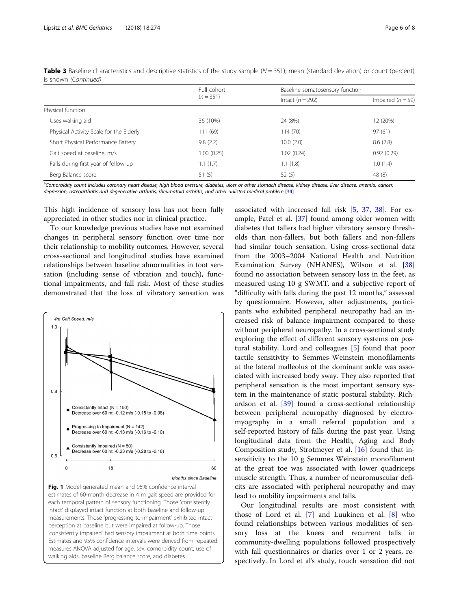|                                         | Full cohort | Baseline somatosensory function |                       |  |
|-----------------------------------------|-------------|---------------------------------|-----------------------|--|
|                                         | $(n = 351)$ | Intact $(n = 292)$              | Impaired ( $n = 59$ ) |  |
| Physical function                       |             |                                 |                       |  |
| Uses walking aid                        | 36 (10%)    | 24 (8%)                         | 12 (20%)              |  |
| Physical Activity Scale for the Elderly | 111 (69)    | 114(70)                         | 97(61)                |  |
| Short Physical Performance Battery      | 9.8(2.2)    | 10.0(2.0)                       | 8.6(2.8)              |  |
| Gait speed at baseline, m/s             | 1.00(0.25)  | 1.02(0.24)                      | 0.92(0.29)            |  |
| Falls during first year of follow-up    | 1.1(1.7)    | 1.1(1.8)                        | 1.0(1.4)              |  |
| Berg Balance score                      | 51(5)       | 52(5)                           | 48 (8)                |  |

<span id="page-5-0"></span>Table 3 Baseline characteristics and descriptive statistics of the study sample  $(N = 351)$ ; mean (standard deviation) or count (percent) is shown (Continued)

<sup>a</sup>Comorbidity count includes coronary heart disease, high blood pressure, diabetes, ulcer or other stomach disease, kidney disease, liver disease, anemia, cancer, depression, osteoarthritis and degenerative arthritis, rheumatoid arthritis, and other unlisted medical problem [\[34](#page-7-0)]

This high incidence of sensory loss has not been fully appreciated in other studies nor in clinical practice.

To our knowledge previous studies have not examined changes in peripheral sensory function over time nor their relationship to mobility outcomes. However, several cross-sectional and longitudinal studies have examined relationships between baseline abnormalities in foot sensation (including sense of vibration and touch), functional impairments, and fall risk. Most of these studies demonstrated that the loss of vibratory sensation was



Fig. 1 Model-generated mean and 95% confidence interval estimates of 60-month decrease in 4 m gait speed are provided for each temporal pattern of sensory functioning. Those 'consistently intact' displayed intact function at both baseline and follow-up measurements. Those 'progressing to impairment' exhibited intact perception at baseline but were impaired at follow-up. Those 'consistently impaired' had sensory impairment at both time points. Estimates and 95% confidence intervals were derived from repeated measures ANOVA adjusted for age, sex, comorbidity count, use of walking aids, baseline Berg balance score, and diabetes

associated with increased fall risk [[5,](#page-7-0) [37,](#page-7-0) [38\]](#page-7-0). For example, Patel et al. [\[37](#page-7-0)] found among older women with diabetes that fallers had higher vibratory sensory thresholds than non-fallers, but both fallers and non-fallers had similar touch sensation. Using cross-sectional data from the 2003–2004 National Health and Nutrition Examination Survey (NHANES), Wilson et al. [[38](#page-7-0)] found no association between sensory loss in the feet, as measured using 10 g SWMT, and a subjective report of "difficulty with falls during the past 12 months," assessed by questionnaire. However, after adjustments, participants who exhibited peripheral neuropathy had an increased risk of balance impairment compared to those without peripheral neuropathy. In a cross-sectional study exploring the effect of different sensory systems on postural stability, Lord and colleagues [[5](#page-7-0)] found that poor tactile sensitivity to Semmes-Weinstein monofilaments at the lateral malleolus of the dominant ankle was associated with increased body sway. They also reported that peripheral sensation is the most important sensory system in the maintenance of static postural stability. Richardson et al. [[39\]](#page-7-0) found a cross-sectional relationship between peripheral neuropathy diagnosed by electromyography in a small referral population and a self-reported history of falls during the past year. Using longitudinal data from the Health, Aging and Body Composition study, Strotmeyer et al. [[16\]](#page-7-0) found that insensitivity to the 10 g Semmes Weinstein monofilament at the great toe was associated with lower quadriceps muscle strength. Thus, a number of neuromuscular deficits are associated with peripheral neuropathy and may lead to mobility impairments and falls.

Our longitudinal results are most consistent with those of Lord et al. [\[7\]](#page-7-0) and Luukinen et al. [[8\]](#page-7-0) who found relationships between various modalities of sensory loss at the knees and recurrent falls in community-dwelling populations followed prospectively with fall questionnaires or diaries over 1 or 2 years, respectively. In Lord et al's study, touch sensation did not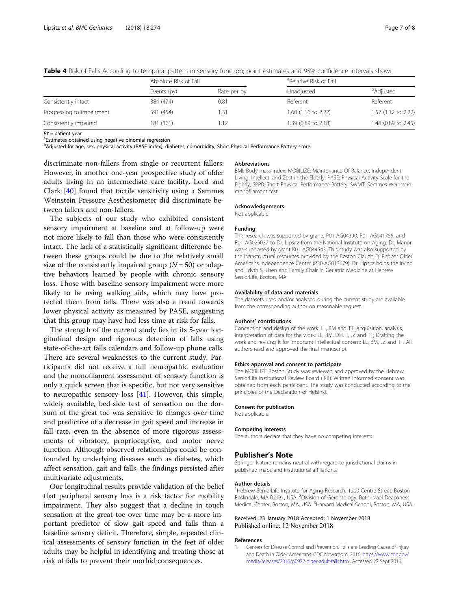|                           | Absolute Risk of Fall |             | <sup>a</sup> Relative Risk of Fall |                       |
|---------------------------|-----------------------|-------------|------------------------------------|-----------------------|
|                           | Events (py)           | Rate per py | Unadjusted                         | <sup>D</sup> Adjusted |
| Consistently intact       | 384 (474)             | 0.81        | Referent                           | Referent              |
| Progressing to impairment | 591 (454)             | .31         | 1.60 (1.16 to 2.22)                | 1.57 (1.12 to 2.22)   |
| Consistently impaired     | 181 (161)             | 1.12        | 1.39 (0.89 to 2.18)                | 1.48 (0.89 to 2.45)   |

<span id="page-6-0"></span>Table 4 Risk of Falls According to temporal pattern in sensory function; point estimates and 95% confidence intervals shown

 $PY =$  patient year

Estimates obtained using negative binomial regression

b<br><sup>b</sup>Adjusted for age, sex, physical activity (PASE index), diabetes, comorbidity, Short Physical Performance Battery score

discriminate non-fallers from single or recurrent fallers. However, in another one-year prospective study of older adults living in an intermediate care facility, Lord and Clark [[40\]](#page-7-0) found that tactile sensitivity using a Semmes Weinstein Pressure Aesthesiometer did discriminate between fallers and non-fallers.

The subjects of our study who exhibited consistent sensory impairment at baseline and at follow-up were not more likely to fall than those who were consistently intact. The lack of a statistically significant difference between these groups could be due to the relatively small size of the consistently impaired group  $(N = 50)$  or adaptive behaviors learned by people with chronic sensory loss. Those with baseline sensory impairment were more likely to be using walking aids, which may have protected them from falls. There was also a trend towards lower physical activity as measured by PASE, suggesting that this group may have had less time at risk for falls.

The strength of the current study lies in its 5-year longitudinal design and rigorous detection of falls using state-of-the-art falls calendars and follow-up phone calls. There are several weaknesses to the current study. Participants did not receive a full neuropathic evaluation and the monofilament assessment of sensory function is only a quick screen that is specific, but not very sensitive to neuropathic sensory loss [[41](#page-7-0)]. However, this simple, widely available, bed-side test of sensation on the dorsum of the great toe was sensitive to changes over time and predictive of a decrease in gait speed and increase in fall rate, even in the absence of more rigorous assessments of vibratory, proprioceptive, and motor nerve function. Although observed relationships could be confounded by underlying diseases such as diabetes, which affect sensation, gait and falls, the findings persisted after multivariate adjustments.

Our longitudinal results provide validation of the belief that peripheral sensory loss is a risk factor for mobility impairment. They also suggest that a decline in touch sensation at the great toe over time may be a more important predictor of slow gait speed and falls than a baseline sensory deficit. Therefore, simple, repeated clinical assessments of sensory function in the feet of older adults may be helpful in identifying and treating those at risk of falls to prevent their morbid consequences.

#### Abbreviations

BMI: Body mass index; MOBILIZE: Maintenance Of Balance, Independent Living, Intellect, and Zest in the Elderly; PASE: Physical Activity Scale for the Elderly; SPPB: Short Physical Performance Battery; SWMT: Semmes-Weinstein monofilament test

#### Acknowledgements

Not applicable.

#### Funding

This research was supported by grants P01 AG04390, R01 AG041785, and R01 AG025037 to Dr. Lipsitz from the National Institute on Aging. Dr. Manor was supported by grant K01 AG044543. This study was also supported by the infrastructural resources provided by the Boston Claude D. Pepper Older Americans Independence Center (P30-AG013679). Dr. Lipsitz holds the Irving and Edyth S. Usen and Family Chair in Geriatric Medicine at Hebrew SeniorLife, Boston, MA.

#### Availability of data and materials

The datasets used and/or analysed during the current study are available from the corresponding author on reasonable request.

#### Authors' contributions

Conception and design of the work: LL, BM and TT; Acquisition, analysis, interpretation of data for the work: LL, BM, DH, II, JZ and TT; Drafting the work and revising it for important intellectual content: LL, BM, JZ and TT. All authors read and approved the final manuscript.

#### Ethics approval and consent to participate

The MOBILIZE Boston Study was reviewed and approved by the Hebrew SeniorLife Institutional Review Board (IRB). Written informed consent was obtained from each participant. The study was conducted according to the principles of the Declaration of Helsinki.

# Consent for publication

Not applicable.

#### Competing interests

The authors declare that they have no competing interests.

#### Publisher's Note

Springer Nature remains neutral with regard to jurisdictional claims in published maps and institutional affiliations.

#### Author details

<sup>1</sup>Hebrew SeniorLife Institute for Aging Research, 1200 Centre Street, Boston Roslindale, MA 02131, USA. <sup>2</sup> Division of Gerontology, Beth Israel Deaconess Medical Center, Boston, MA, USA.<sup>3</sup> Harvard Medical School, Boston, MA, USA

#### Received: 23 January 2018 Accepted: 1 November 2018 Published online: 12 November 2018

#### References

1. Centers for Disease Control and Prevention. Falls are Leading Cause of Injury and Death in Older Americans. CDC Newsroom. 2016. [https://www.cdc.gov/](https://www.cdc.gov/media/releases/2016/p0922-older-adult-falls.html) [media/releases/2016/p0922-older-adult-falls.html](https://www.cdc.gov/media/releases/2016/p0922-older-adult-falls.html). Accessed 22 Sept 2016.